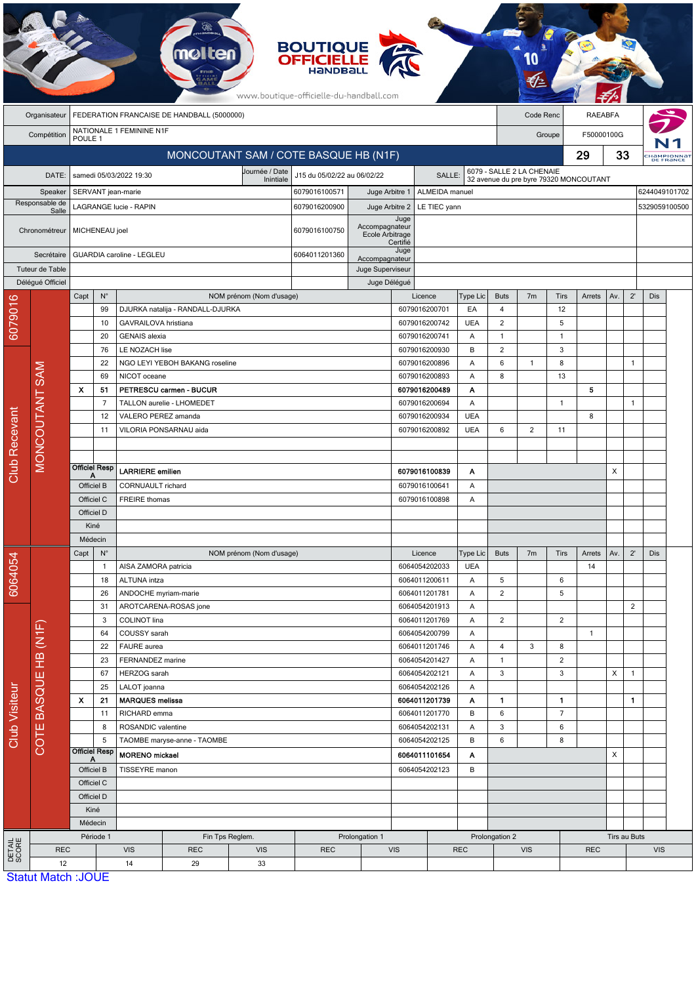|                      | <b>BOUTIQUE<br/>OFFICIELLE</b><br>www.boutique-officielle-du-handball.com |                                              |                                         |                                        |                                  |                          |                                       |                                          |               |                                |                                                         |                                              |                                |                   |            |                |              |                         |  |
|----------------------|---------------------------------------------------------------------------|----------------------------------------------|-----------------------------------------|----------------------------------------|----------------------------------|--------------------------|---------------------------------------|------------------------------------------|---------------|--------------------------------|---------------------------------------------------------|----------------------------------------------|--------------------------------|-------------------|------------|----------------|--------------|-------------------------|--|
|                      | FEDERATION FRANCAISE DE HANDBALL (5000000)<br>Code Renc<br>Organisateur   |                                              |                                         |                                        |                                  |                          |                                       |                                          |               |                                | <b>RAEABFA</b>                                          |                                              |                                |                   |            |                |              |                         |  |
|                      | Compétition                                                               | POULE <sub>1</sub>                           |                                         | NATIONALE 1 FEMININE N1F               |                                  |                          |                                       |                                          |               |                                | Groupe                                                  |                                              |                                | F50000100G        |            |                |              |                         |  |
|                      | MONCOUTANT SAM / COTE BASQUE HB (N1F)                                     |                                              |                                         |                                        |                                  |                          |                                       |                                          |               |                                |                                                         |                                              |                                |                   | 29         | 33             |              | Hampionnat<br>DE FRANCE |  |
|                      | DATE:                                                                     |                                              |                                         | samedi 05/03/2022 19:30                |                                  | Journée / Date           | J15 du 05/02/22 au 06/02/22<br>SALLE: |                                          |               |                                |                                                         | 6079 - SALLE 2 LA CHENAIE                    |                                |                   |            |                |              |                         |  |
|                      | Speaker                                                                   |                                              |                                         |                                        |                                  | Inintiale                | 6079016100571<br>Juge Arbitre 1       |                                          |               | ALMEIDA manuel                 | 32 avenue du pre byre 79320 MONCOUTANT<br>6244049101702 |                                              |                                |                   |            |                |              |                         |  |
| Responsable de       |                                                                           | SERVANT jean-marie<br>LAGRANGE lucie - RAPIN |                                         |                                        |                                  |                          | 6079016200900                         | Juge Arbitre 2<br>LE TIEC yann           |               |                                |                                                         |                                              |                                |                   |            |                |              | 5329059100500           |  |
| Salle                |                                                                           |                                              |                                         |                                        |                                  |                          | Accompagnateur                        |                                          | Juge          |                                |                                                         |                                              |                                |                   |            |                |              |                         |  |
| Chronométreur        |                                                                           | MICHENEAU joel                               |                                         |                                        |                                  |                          | 6079016100750                         | Ecole Arbitrage                          | Certifié      |                                |                                                         |                                              |                                |                   |            |                |              |                         |  |
|                      | Secrétaire                                                                |                                              | <b>GUARDIA caroline - LEGLEU</b>        |                                        |                                  |                          |                                       | Accompagnateur                           | Juge          |                                |                                                         |                                              |                                |                   |            |                |              |                         |  |
|                      | Tuteur de Table                                                           |                                              |                                         |                                        |                                  |                          |                                       | Juge Superviseur                         |               |                                |                                                         |                                              |                                |                   |            |                |              |                         |  |
|                      | Délégué Officiel                                                          |                                              |                                         |                                        |                                  |                          |                                       |                                          | Juge Délégué  |                                |                                                         |                                              |                                |                   |            |                |              |                         |  |
|                      |                                                                           | Capt                                         | $N^{\circ}$                             |                                        |                                  | NOM prénom (Nom d'usage) |                                       |                                          |               | Licence                        | Type Lic                                                | <b>Buts</b>                                  | 7 <sub>m</sub>                 | Tirs              | Arrets     | Av.            | $2^{\prime}$ | Dis                     |  |
|                      |                                                                           |                                              | 99                                      |                                        | DJURKA natalija - RANDALL-DJURKA |                          |                                       |                                          |               | 6079016200701                  | EA                                                      | $\overline{4}$                               |                                | 12                |            |                |              |                         |  |
| 6079016              |                                                                           |                                              | 10                                      | GAVRAILOVA hristiana                   |                                  |                          |                                       |                                          |               | 6079016200742                  | <b>UEA</b>                                              | $\overline{c}$                               |                                | 5                 |            |                |              |                         |  |
|                      |                                                                           |                                              | 20<br>76                                | <b>GENAIS</b> alexia<br>LE NOZACH lise |                                  |                          |                                       |                                          |               | 6079016200741<br>6079016200930 | Α<br>B                                                  | $\mathbf{1}$<br>$\overline{2}$               |                                | $\mathbf{1}$<br>3 |            |                |              |                         |  |
|                      |                                                                           |                                              | 22                                      |                                        | NGO LEYI YEBOH BAKANG roseline   |                          |                                       |                                          |               | 6079016200896                  | A                                                       | 6                                            | $\mathbf{1}$                   | 8                 |            |                | $\mathbf{1}$ |                         |  |
|                      |                                                                           |                                              | 69                                      | NICOT oceane                           |                                  |                          |                                       |                                          |               | 6079016200893                  | A                                                       | 8                                            |                                | 13                |            |                |              |                         |  |
|                      |                                                                           | $\boldsymbol{\mathsf{x}}$                    | 51                                      |                                        | PETRESCU carmen - BUCUR          |                          |                                       |                                          |               | 6079016200489                  | Α                                                       |                                              |                                |                   | 5          |                |              |                         |  |
|                      |                                                                           |                                              | $\overline{7}$                          |                                        | TALLON aurelie - LHOMEDET        |                          |                                       |                                          |               | 6079016200694                  | A                                                       |                                              |                                | $\mathbf{1}$      |            |                | $\mathbf{1}$ |                         |  |
|                      |                                                                           |                                              | 12                                      | VALERO PEREZ amanda                    |                                  |                          |                                       |                                          |               | 6079016200934                  | <b>UEA</b>                                              |                                              |                                |                   | 8          |                |              |                         |  |
|                      | <b>MONCOUTANT SAM</b>                                                     |                                              | 11                                      |                                        | VILORIA PONSARNAU aida           |                          |                                       |                                          |               | 6079016200892                  | <b>UEA</b>                                              | 6                                            | 2                              | 11                |            |                |              |                         |  |
|                      |                                                                           |                                              |                                         |                                        |                                  |                          |                                       |                                          |               |                                |                                                         |                                              |                                |                   |            |                |              |                         |  |
| <b>Club Recevant</b> |                                                                           |                                              | <b>Officiel Resp</b>                    |                                        |                                  |                          |                                       |                                          |               |                                |                                                         |                                              |                                |                   |            |                |              |                         |  |
|                      |                                                                           | А                                            |                                         | LARRIERE emilien                       |                                  |                          |                                       | 6079016100839<br>Α                       |               |                                | X                                                       |                                              |                                |                   |            |                |              |                         |  |
|                      |                                                                           | Officiel B<br>Officiel C                     |                                         | CORNUAULT richard                      |                                  |                          |                                       | 6079016100641<br>A<br>6079016100898<br>Α |               |                                |                                                         |                                              |                                |                   |            |                |              |                         |  |
|                      |                                                                           | Officiel D                                   |                                         | <b>FREIRE</b> thomas                   |                                  |                          |                                       |                                          |               |                                |                                                         |                                              |                                |                   |            |                |              |                         |  |
|                      |                                                                           | Kiné                                         |                                         |                                        |                                  |                          |                                       |                                          |               |                                |                                                         |                                              |                                |                   |            |                |              |                         |  |
|                      |                                                                           | Médecin                                      |                                         |                                        |                                  |                          |                                       |                                          |               |                                |                                                         |                                              |                                |                   |            |                |              |                         |  |
|                      |                                                                           | $\mathsf{N}^\circ$<br>Capt                   |                                         |                                        |                                  | NOM prénom (Nom d'usage) |                                       |                                          |               | Licence                        | Type Lic                                                | <b>Buts</b><br>7 <sub>m</sub><br><b>Tirs</b> |                                |                   | Arrets     | Av.            | $2^{\prime}$ | Dis                     |  |
|                      |                                                                           |                                              | $\mathbf{1}$                            | AISA ZAMORA patricia                   |                                  |                          |                                       |                                          |               | 6064054202033                  | <b>UEA</b>                                              |                                              |                                |                   | 14         |                |              |                         |  |
| 6064054              |                                                                           | 18                                           |                                         | ALTUNA intza                           |                                  |                          |                                       |                                          |               | 6064011200611                  | Α                                                       | 5                                            |                                | 6                 |            |                |              |                         |  |
|                      |                                                                           |                                              | 26                                      | ANDOCHE myriam-marie                   |                                  |                          |                                       |                                          | 6064011201781 | Α                              | $\overline{2}$                                          |                                              | 5                              |                   |            |                |              |                         |  |
|                      |                                                                           |                                              | 31<br>AROTCARENA-ROSAS jone             |                                        |                                  |                          |                                       |                                          | 6064054201913 | Α                              |                                                         |                                              |                                |                   |            | $\overline{2}$ |              |                         |  |
|                      |                                                                           |                                              | COLINOT lina<br>3<br>COUSSY sarah<br>64 |                                        |                                  |                          |                                       | 6064011201769<br>A<br>6064054200799      |               |                                | $\overline{c}$                                          |                                              | $\overline{2}$                 | $\overline{1}$    |            |                |              |                         |  |
|                      |                                                                           |                                              | 22                                      | FAURE aurea                            |                                  |                          |                                       |                                          |               | 6064011201746                  | Α<br>A                                                  | $\overline{4}$                               | 3                              | 8                 |            |                |              |                         |  |
|                      |                                                                           |                                              | 23                                      | FERNANDEZ marine                       |                                  |                          |                                       |                                          |               | 6064054201427                  | A                                                       | $\overline{1}$                               |                                | 2                 |            |                |              |                         |  |
|                      |                                                                           | 67                                           |                                         | HERZOG sarah                           |                                  |                          |                                       |                                          |               | 6064054202121<br>Α             |                                                         | 3                                            |                                | 3                 |            | X              | $\mathbf{1}$ |                         |  |
|                      |                                                                           |                                              | 25                                      | LALOT joanna                           |                                  |                          |                                       |                                          |               | 6064054202126                  | Α                                                       |                                              |                                |                   |            |                |              |                         |  |
| Club Visiteur        |                                                                           | X                                            | 21<br><b>MARQUES melissa</b>            |                                        |                                  |                          |                                       | 6064011201739                            |               | Α                              | $\mathbf{1}$                                            |                                              | $\mathbf{1}$                   |                   |            | 1.             |              |                         |  |
|                      |                                                                           |                                              | 11                                      | RICHARD emma                           |                                  |                          |                                       |                                          |               | 6064011201770                  | B                                                       | 6                                            |                                | $\overline{7}$    |            |                |              |                         |  |
|                      | COTE BASQUE HB (N1F)                                                      |                                              | 8                                       | ROSANDIC valentine                     |                                  |                          |                                       | 6064054202131                            |               | A                              | $\mathbf{3}$                                            |                                              | 6                              |                   |            |                |              |                         |  |
|                      |                                                                           |                                              | 5<br><b>Officiel Resp</b>               | TAOMBE maryse-anne - TAOMBE            |                                  |                          | 6064054202125<br>B                    |                                          |               | 6<br>8                         |                                                         |                                              |                                |                   |            |                |              |                         |  |
|                      |                                                                           |                                              | <b>MORENO</b> mickael                   |                                        |                                  |                          |                                       | 6064011101654                            |               | Α                              |                                                         |                                              |                                |                   | X          |                |              |                         |  |
|                      |                                                                           | Officiel B<br>Officiel C<br>Officiel D       |                                         | TISSEYRE manon                         |                                  |                          | 6064054202123                         |                                          | B             |                                |                                                         |                                              |                                |                   |            |                |              |                         |  |
|                      |                                                                           |                                              |                                         |                                        |                                  |                          |                                       |                                          |               |                                |                                                         |                                              |                                |                   |            |                |              |                         |  |
|                      |                                                                           | Kiné                                         |                                         |                                        |                                  |                          |                                       |                                          |               |                                |                                                         |                                              |                                |                   |            |                |              |                         |  |
|                      |                                                                           |                                              | Médecin                                 |                                        |                                  |                          |                                       |                                          |               |                                |                                                         |                                              |                                |                   |            |                |              |                         |  |
|                      |                                                                           |                                              | Période 1                               | Fin Tps Reglem.<br>Prolongation 1      |                                  |                          |                                       |                                          |               |                                |                                                         |                                              | Prolongation 2<br>Tirs au Buts |                   |            |                |              |                         |  |
| DETAIL<br>SCORE      | <b>REC</b>                                                                |                                              |                                         | <b>VIS</b>                             | <b>REC</b>                       | <b>VIS</b>               | <b>REC</b>                            |                                          | <b>VIS</b>    | <b>REC</b>                     |                                                         |                                              | <b>VIS</b>                     |                   | <b>REC</b> |                |              | <b>VIS</b>              |  |
|                      | 12                                                                        |                                              | <b>Statut Match: JOUE</b>               | 14                                     | 29<br>33                         |                          |                                       |                                          |               |                                |                                                         |                                              |                                |                   |            |                |              |                         |  |